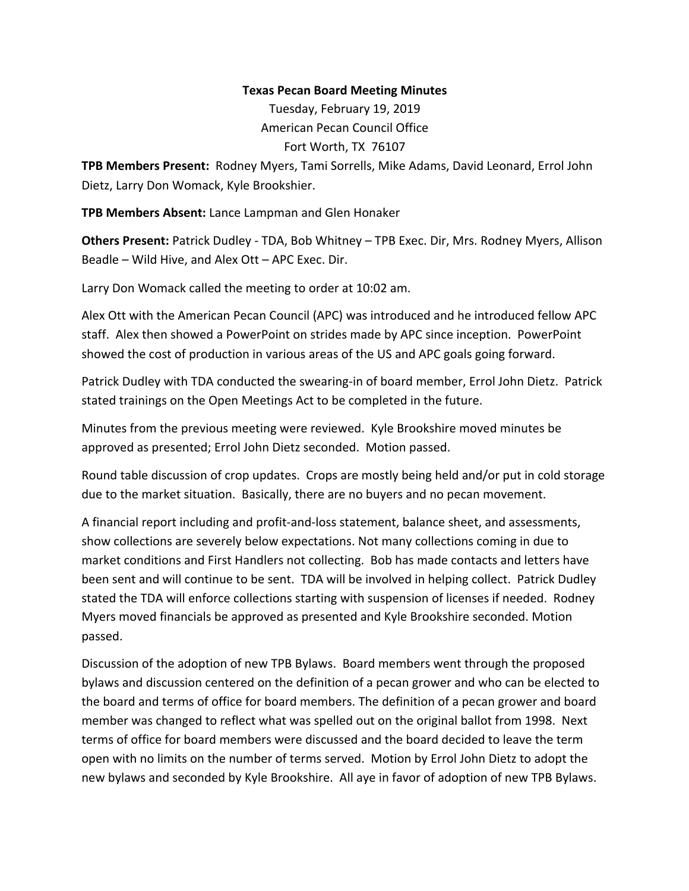## **Texas Pecan Board Meeting Minutes**

Tuesday, February 19, 2019 American Pecan Council Office Fort Worth, TX 76107

**TPB Members Present:** Rodney Myers, Tami Sorrells, Mike Adams, David Leonard, Errol John Dietz, Larry Don Womack, Kyle Brookshier.

**TPB Members Absent:** Lance Lampman and Glen Honaker

**Others Present:** Patrick Dudley - TDA, Bob Whitney – TPB Exec. Dir, Mrs. Rodney Myers, Allison Beadle – Wild Hive, and Alex Ott – APC Exec. Dir.

Larry Don Womack called the meeting to order at 10:02 am.

Alex Ott with the American Pecan Council (APC) was introduced and he introduced fellow APC staff. Alex then showed a PowerPoint on strides made by APC since inception. PowerPoint showed the cost of production in various areas of the US and APC goals going forward.

Patrick Dudley with TDA conducted the swearing-in of board member, Errol John Dietz. Patrick stated trainings on the Open Meetings Act to be completed in the future.

Minutes from the previous meeting were reviewed. Kyle Brookshire moved minutes be approved as presented; Errol John Dietz seconded. Motion passed.

Round table discussion of crop updates. Crops are mostly being held and/or put in cold storage due to the market situation. Basically, there are no buyers and no pecan movement.

A financial report including and profit-and-loss statement, balance sheet, and assessments, show collections are severely below expectations. Not many collections coming in due to market conditions and First Handlers not collecting. Bob has made contacts and letters have been sent and will continue to be sent. TDA will be involved in helping collect. Patrick Dudley stated the TDA will enforce collections starting with suspension of licenses if needed. Rodney Myers moved financials be approved as presented and Kyle Brookshire seconded. Motion passed.

Discussion of the adoption of new TPB Bylaws. Board members went through the proposed bylaws and discussion centered on the definition of a pecan grower and who can be elected to the board and terms of office for board members. The definition of a pecan grower and board member was changed to reflect what was spelled out on the original ballot from 1998. Next terms of office for board members were discussed and the board decided to leave the term open with no limits on the number of terms served. Motion by Errol John Dietz to adopt the new bylaws and seconded by Kyle Brookshire. All aye in favor of adoption of new TPB Bylaws.